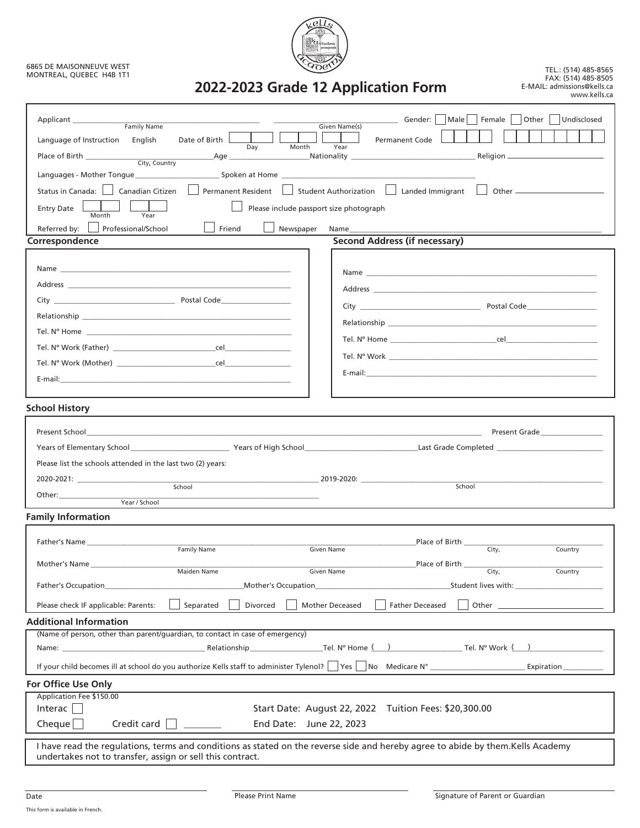## 6865 DE MAISONNEUVE WEST MONTREAL, QUEBEC H4B 1T1



TEL.: (514) 485-8565 FAX: (514) 485-8505 E-MAIL: admissions@kells.ca www.kells.ca

| Other   Undisclosed<br>Male<br>Female  <br>__ Gender:<br>Applicant                                                                                                                                                             |  |  |  |
|--------------------------------------------------------------------------------------------------------------------------------------------------------------------------------------------------------------------------------|--|--|--|
| Family Name<br>Given Name(s)<br>Language of Instruction English<br>Date of Birth L<br><b>Permanent Code</b>                                                                                                                    |  |  |  |
| Year<br>Day<br>Month<br>and <b>Age Age Age Age Age Age Age Age Age Age Age Age Age Age Age Age Age Age Age Age Age Age Age Age Age Age Age Age Age Age Age Age Age</b>                                                         |  |  |  |
|                                                                                                                                                                                                                                |  |  |  |
|                                                                                                                                                                                                                                |  |  |  |
| Permanent Resident   Student Authorization   Landed Immigrant  <br>Status in Canada:   Canadian Citizen                                                                                                                        |  |  |  |
| <b>Entry Date</b><br>Please include passport size photograph<br>Month<br>Year                                                                                                                                                  |  |  |  |
| Referred by:   Professional/School<br>Friend<br>Newspaper<br>Name and the state of the state of the state of the state of the state of the state of the state of the state o                                                   |  |  |  |
| <b>Second Address (if necessary)</b><br>Correspondence                                                                                                                                                                         |  |  |  |
|                                                                                                                                                                                                                                |  |  |  |
| Name and the state of the state of the state of the state of the state of the state of the state of the state of the state of the state of the state of the state of the state of the state of the state of the state of the s |  |  |  |
|                                                                                                                                                                                                                                |  |  |  |
|                                                                                                                                                                                                                                |  |  |  |
|                                                                                                                                                                                                                                |  |  |  |
|                                                                                                                                                                                                                                |  |  |  |
|                                                                                                                                                                                                                                |  |  |  |
|                                                                                                                                                                                                                                |  |  |  |
|                                                                                                                                                                                                                                |  |  |  |
|                                                                                                                                                                                                                                |  |  |  |
| <b>School History</b>                                                                                                                                                                                                          |  |  |  |
| Present School Present Grade Present Grade Present Grade Present Grade Present Grade Present Grade Present Grade Present Grade Present Grade Present Grade Present Grade Present Grade Present Grade Present Grade Present Gra |  |  |  |
|                                                                                                                                                                                                                                |  |  |  |
| Please list the schools attended in the last two (2) years:                                                                                                                                                                    |  |  |  |
|                                                                                                                                                                                                                                |  |  |  |
| School<br>School                                                                                                                                                                                                               |  |  |  |
| Year / School                                                                                                                                                                                                                  |  |  |  |
| <b>Family Information</b>                                                                                                                                                                                                      |  |  |  |
| Place of Birth                                                                                                                                                                                                                 |  |  |  |
| Father's Name<br>City,<br><b>Family Name</b><br>Country<br><b>Given Name</b>                                                                                                                                                   |  |  |  |
| Place of Birth<br>Mother's Name<br>Maiden Name<br>$\overline{\text{City}}$ ,<br>Given Name<br>Country                                                                                                                          |  |  |  |
| Father's Occupation<br>Mother's Occupation_                                                                                                                                                                                    |  |  |  |
|                                                                                                                                                                                                                                |  |  |  |
| Please check IF applicable: Parents:<br>Separated<br>Divorced<br><b>Mother Deceased</b><br><b>Father Deceased</b>                                                                                                              |  |  |  |
| <b>Additional Information</b>                                                                                                                                                                                                  |  |  |  |
| (Name of person, other than parent/guardian, to contact in case of emergency)                                                                                                                                                  |  |  |  |
|                                                                                                                                                                                                                                |  |  |  |
| If your child becomes ill at school do you authorize Kells staff to administer Tylenol?   Yes   No Medicare N°<br>Expiration                                                                                                   |  |  |  |
| For Office Use Only                                                                                                                                                                                                            |  |  |  |
| Application Fee \$150.00<br>Interac $\Box$<br>Start Date: August 22, 2022 Tuition Fees: \$20,300.00                                                                                                                            |  |  |  |
| Credit card $\Box$<br>Cheque $\Box$<br>End Date: June 22, 2023                                                                                                                                                                 |  |  |  |
|                                                                                                                                                                                                                                |  |  |  |
| I have read the regulations, terms and conditions as stated on the reverse side and hereby agree to abide by them.Kells Academy<br>undertakes not to transfer, assign or sell this contract.                                   |  |  |  |

Date